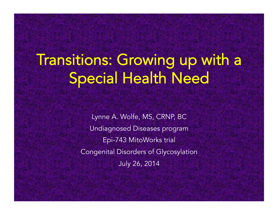# Transitions: Growing up with a Special Health Need

Lynne A. Wolfe, MS, CRNP, BC Undiagnosed Diseases program Epi-743 MitoWorks trial Congenital Disorders of Glycosylation July 26, 2014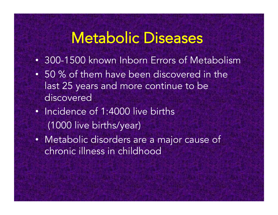## Metabolic Diseases

- 300-1500 known Inborn Errors of Metabolism
- 50 % of them have been discovered in the last 25 years and more continue to be discovered
- Incidence of 1:4000 live births (1000 live births/year)
- Metabolic disorders are a major cause of chronic illness in childhood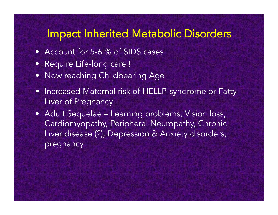#### Impact Inherited Metabolic Disorders

- Account for 5-6 % of SIDS cases
- Require Life-long care !
- Now reaching Childbearing Age
- Increased Maternal risk of HELLP syndrome or Fatty Liver of Pregnancy
- Adult Sequelae Learning problems, Vision loss, Cardiomyopathy, Peripheral Neuropathy, Chronic Liver disease (?), Depression & Anxiety disorders, pregnancy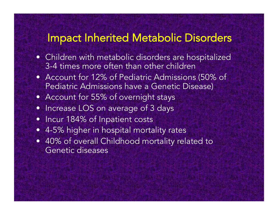#### Impact Inherited Metabolic Disorders

- Children with metabolic disorders are hospitalized 3-4 times more often than other children
- Account for 12% of Pediatric Admissions (50% of Pediatric Admissions have a Genetic Disease)
- Account for 55% of overnight stays
- Increase LOS on average of 3 days
- Incur 184% of Inpatient costs
- 4-5% higher in hospital mortality rates
- 40% of overall Childhood mortality related to Genetic diseases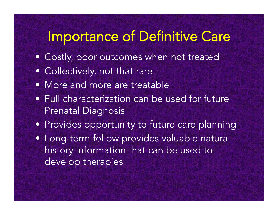### Importance of Definitive Care

- Costly, poor outcomes when not treated
- Collectively, not that rare
- More and more are treatable
- Full characterization can be used for future Prenatal Diagnosis
- Provides opportunity to future care planning
- Long-term follow provides valuable natural history information that can be used to develop therapies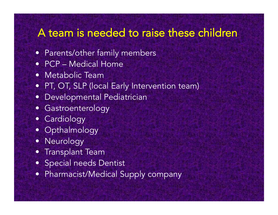#### A team is needed to raise these children

- Parents/other family members
- PCP Medical Home
- Metabolic Team
- PT, OT, SLP (local Early Intervention team)
- Developmental Pediatrician
- Gastroenterology
- Cardiology
- Opthalmology
- Neurology
- Transplant Team
- Special needs Dentist
- Pharmacist/Medical Supply company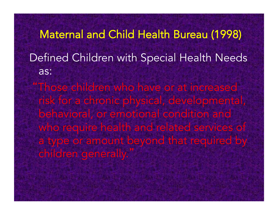Maternal and Child Health Bureau (1998) Defined Children with Special Health Needs as:

 "Those children who have or at increased risk for a chronic physical, developmental, behavioral, or emotional condition and who require health and related services of a type or amount beyond that required by children generally.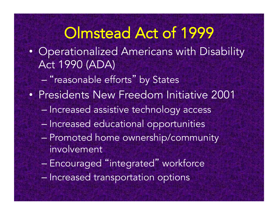## Olmstead Act of 1999

- Operationalized Americans with Disability Act 1990 (ADA)
	- "reasonable efforts" by States
- Presidents New Freedom Initiative 2001
	- Increased assistive technology access
	- Increased educational opportunities
	- Promoted home ownership/community involvement
	- Encouraged "integrated" workforce
	- Increased transportation options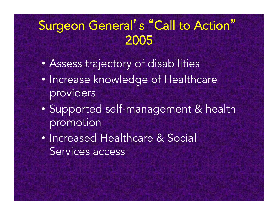#### Surgeon General' s "Call to Action" 2005

- Assess trajectory of disabilities
- Increase knowledge of Healthcare providers
- Supported self-management & health promotion
- Increased Healthcare & Social Services access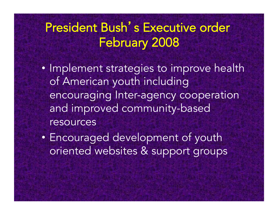#### President Bush's Executive order February 2008

- Implement strategies to improve health of American youth including encouraging Inter-agency cooperation and improved community-based resources
- Encouraged development of youth oriented websites & support groups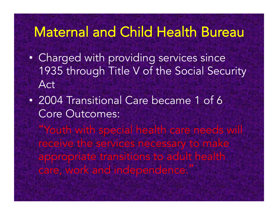#### Maternal and Child Health Bureau

- Charged with providing services since 1935 through Title V of the Social Security Act
- 2004 Transitional Care became 1 of 6 Core Outcomes:

"Youth with special health care needs will receive the services necessary to make appropriate transitions to adult health care, work and independence.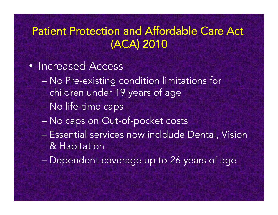#### Patient Protection and Affordable Care Act (ACA) 2010

- Increased Access
	- No Pre-existing condition limitations for children under 19 years of age
	- No life-time caps
	- No caps on Out-of-pocket costs
	- Essential services now incldude Dental, Vision & Habitation
	- Dependent coverage up to 26 years of age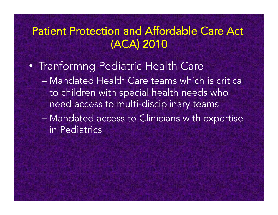#### Patient Protection and Affordable Care Act (ACA) 2010

- Tranformng Pediatric Health Care – Mandated Health Care teams which is critical to children with special health needs who need access to multi-disciplinary teams – Mandated access to Clinicians with expertise
	- in Pediatrics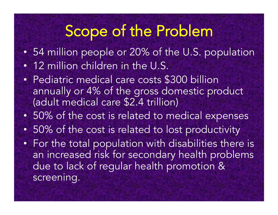## Scope of the Problem

- 54 million people or 20% of the U.S. population
- 12 million children in the U.S.
- Pediatric medical care costs \$300 billion annually or 4% of the gross domestic product (adult medical care \$2.4 trillion)
- 50% of the cost is related to medical expenses
- 50% of the cost is related to lost productivity
- For the total population with disabilities there is an increased risk for secondary health problems due to lack of regular health promotion & screening.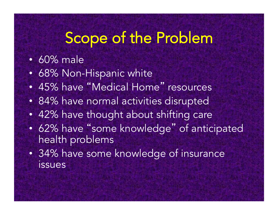### Scope of the Problem

- 60% male
- 68% Non-Hispanic white
- 45% have "Medical Home" resources
- 84% have normal activities disrupted
- 42% have thought about shifting care
- 62% have "some knowledge" of anticipated health problems
- 34% have some knowledge of insurance issues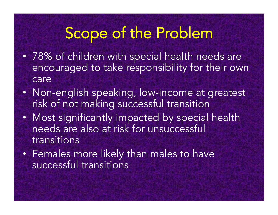## Scope of the Problem

- 78% of children with special health needs are encouraged to take responsibility for their own care
- Non-english speaking, low-income at greatest risk of not making successful transition
- Most significantly impacted by special health needs are also at risk for unsuccessful transitions
- Females more likely than males to have successful transitions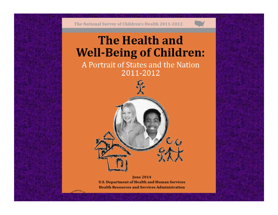The National Survey of Children's Health 2011-2012

#### **The Health and Well-Being of Children:**

A Portrait of States and the Nation 2011-2012



**June 2014 U.S. Department of Health and Human Services Health Resources and Services Administration** 

SERVICES.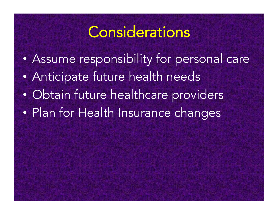#### **Considerations**

• Assume responsibility for personal care • Anticipate future health needs • Obtain future healthcare providers • Plan for Health Insurance changes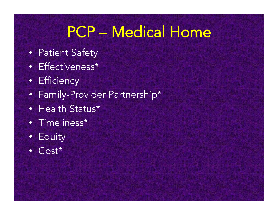## PCP – Medical Home

- Patient Safety
- Effectiveness\*
- Efficiency
- Family-Provider Partnership\*
- Health Status\*
- Timeliness\*
- Equity
- Cost\*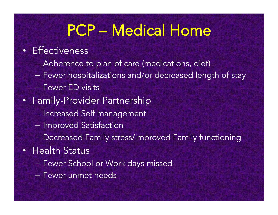## PCP – Medical Home

#### • Effectiveness

- Adherence to plan of care (medications, diet)
- Fewer hospitalizations and/or decreased length of stay
- Fewer ED visits
- Family-Provider Partnership
	- Increased Self management
	- Improved Satisfaction
	- Decreased Family stress/improved Family functioning
- Health Status
	- Fewer School or Work days missed
	- Fewer unmet needs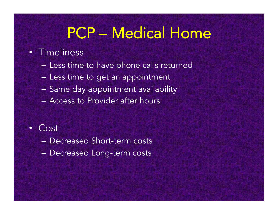## PCP – Medical Home

#### • Timeliness

- Less time to have phone calls returned
- Less time to get an appointment
- Same day appointment availability
- Access to Provider after hours

#### • Cost

- Decreased Short-term costs
- Decreased Long-term costs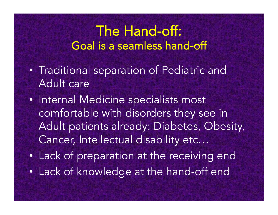#### The Hand-off: Goal is a seamless hand-off

- Traditional separation of Pediatric and Adult care
- Internal Medicine specialists most comfortable with disorders they see in Adult patients already: Diabetes, Obesity, Cancer, Intellectual disability etc…
- Lack of preparation at the receiving end
- Lack of knowledge at the hand-off end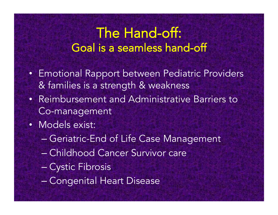#### The Hand-off: Goal is a seamless hand-off

- Emotional Rapport between Pediatric Providers & families is a strength & weakness
- Reimbursement and Administrative Barriers to Co-management
- Models exist:
	- Geriatric-End of Life Case Management
	- Childhood Cancer Survivor care
	- Cystic Fibrosis
	- Congenital Heart Disease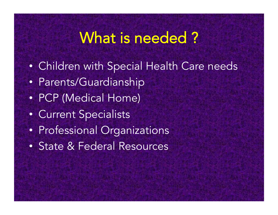## What is needed ?

- Children with Special Health Care needs
- Parents/Guardianship
- PCP (Medical Home)
- Current Specialists
- Professional Organizations
- State & Federal Resources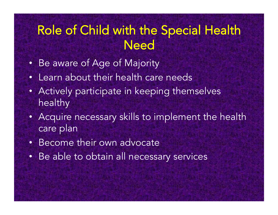#### Role of Child with the Special Health **Need**

- Be aware of Age of Majority
- Learn about their health care needs
- Actively participate in keeping themselves healthy
- Acquire necessary skills to implement the health care plan
- Become their own advocate
- Be able to obtain all necessary services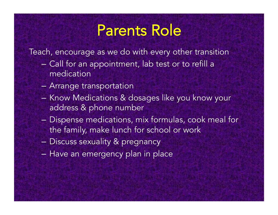## Parents Role

Teach, encourage as we do with every other transition

- Call for an appointment, lab test or to refill a medication
- Arrange transportation
- Know Medications & dosages like you know your address & phone number
- Dispense medications, mix formulas, cook meal for the family, make lunch for school or work
- Discuss sexuality & pregnancy
- Have an emergency plan in place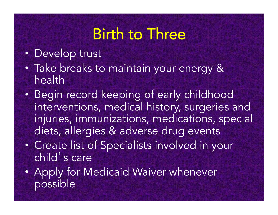## Birth to Three

- Develop trust
- Take breaks to maintain your energy & health
- Begin record keeping of early childhood interventions, medical history, surgeries and injuries, immunizations, medications, special diets, allergies & adverse drug events
- Create list of Specialists involved in your child' s care
- Apply for Medicaid Waiver whenever possible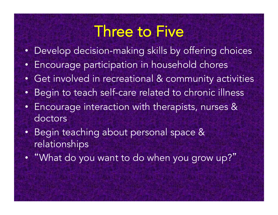#### Three to Five

- Develop decision-making skills by offering choices
- Encourage participation in household chores
- Get involved in recreational & community activities
- Begin to teach self-care related to chronic illness
- Encourage interaction with therapists, nurses & doctors
- Begin teaching about personal space & relationships
- "What do you want to do when you grow up?"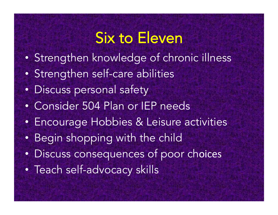## Six to Eleven

- Strengthen knowledge of chronic illness
- Strengthen self-care abilities
- Discuss personal safety
- Consider 504 Plan or IEP needs
- Encourage Hobbies & Leisure activities
- Begin shopping with the child
- Discuss consequences of poor choices
- Teach self-advocacy skills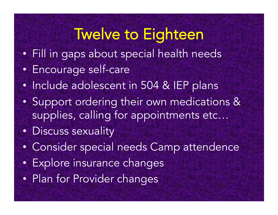## Twelve to Eighteen

- Fill in gaps about special health needs
- Encourage self-care
- Include adolescent in 504 & IEP plans
- Support ordering their own medications & supplies, calling for appointments etc…
- Discuss sexuality
- Consider special needs Camp attendence
- Explore insurance changes
- Plan for Provider changes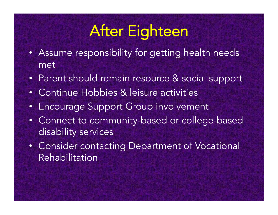## After Eighteen

- Assume responsibility for getting health needs met
- Parent should remain resource & social support
- Continue Hobbies & leisure activities
- Encourage Support Group involvement
- Connect to community-based or college-based disability services
- Consider contacting Department of Vocational Rehabilitation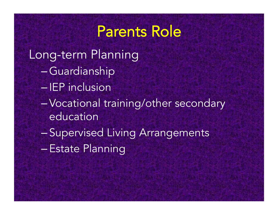#### Parents Role

- Long-term Planning
	- –Guardianship
	- IEP inclusion
	- –Vocational training/other secondary education
	- Supervised Living Arrangements
	- –Estate Planning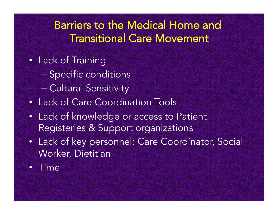#### Barriers to the Medical Home and Transitional Care Movement

- Lack of Training
	- Specific conditions
	- Cultural Sensitivity
- Lack of Care Coordination Tools
- Lack of knowledge or access to Patient Registeries & Support organizations
- Lack of key personnel: Care Coordinator, Social Worker, Dietitian
- Time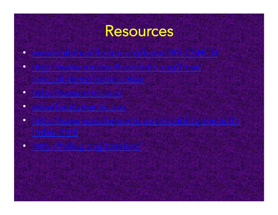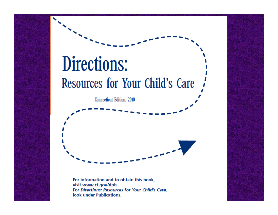# Directions: Resources for Your Child's Care

**Connecticut Edition**, 2010



For information and to obtain this book, visit www.ct.gov/dph For Directions: Resources for Your Child's Care, look under Publications.